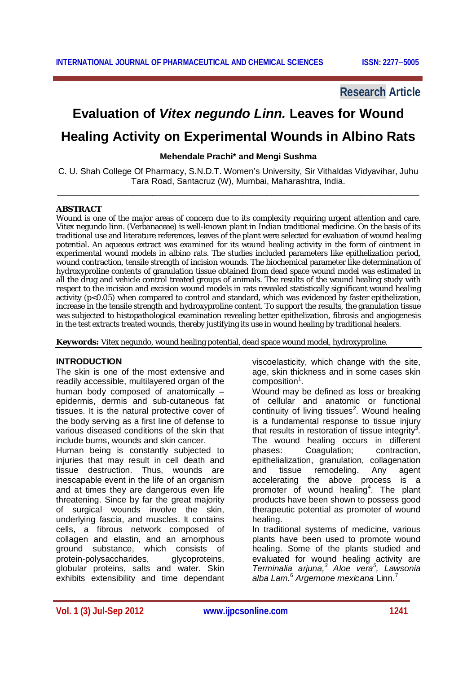# **Research Article**

# **Evaluation of** *Vitex negundo Linn.* **Leaves for Wound Healing Activity on Experimental Wounds in Albino Rats**

## **Mehendale Prachi\* and Mengi Sushma**

C. U. Shah College Of Pharmacy, S.N.D.T. Women's University, Sir Vithaldas Vidyavihar, Juhu Tara Road, Santacruz (W), Mumbai, Maharashtra, India. \_\_\_\_\_\_\_\_\_\_\_\_\_\_\_\_\_\_\_\_\_\_\_\_\_\_\_\_\_\_\_\_\_\_\_\_\_\_\_\_\_\_\_\_\_\_\_\_\_\_\_\_\_\_\_\_\_\_\_\_\_\_\_\_\_\_\_\_\_\_\_\_\_\_\_\_

#### **ABSTRACT**

Wound is one of the major areas of concern due to its complexity requiring urgent attention and care. *Vitex negundo* linn. (Verbanaceae) is well-known plant in Indian traditional medicine. On the basis of its traditional use and literature references, leaves of the plant were selected for evaluation of wound healing potential. An aqueous extract was examined for its wound healing activity in the form of ointment in experimental wound models in albino rats. The studies included parameters like epithelization period, wound contraction, tensile strength of incision wounds. The biochemical parameter like determination of hydroxyproline contents of granulation tissue obtained from dead space wound model was estimated in all the drug and vehicle control treated groups of animals. The results of the wound healing study with respect to the incision and excision wound models in rats revealed statistically significant wound healing activity (p<0.05) when compared to control and standard, which was evidenced by faster epithelization, increase in the tensile strength and hydroxyproline content. To support the results, the granulation tissue was subjected to histopathological examination revealing better epithelization, fibrosis and angiogenesis in the test extracts treated wounds, thereby justifying its use in wound healing by traditional healers.

**Keywords:** *Vitex negundo,* wound healing potential, dead space wound model, hydroxyproline.

## **INTRODUCTION**

The skin is one of the most extensive and readily accessible, multilayered organ of the human body composed of anatomically – epidermis, dermis and sub-cutaneous fat tissues. It is the natural protective cover of the body serving as a first line of defense to various diseased conditions of the skin that include burns, wounds and skin cancer.

Human being is constantly subjected to injuries that may result in cell death and tissue destruction. Thus, wounds are inescapable event in the life of an organism and at times they are dangerous even life threatening. Since by far the great majority of surgical wounds involve the skin, underlying fascia, and muscles. It contains cells, a fibrous network composed of collagen and elastin, and an amorphous ground substance, which consists of protein-polysaccharides, glycoproteins, globular proteins, salts and water. Skin exhibits extensibility and time dependant

viscoelasticity, which change with the site, age, skin thickness and in some cases skin composition<sup>1</sup>.

Wound may be defined as loss or breaking of cellular and anatomic or functional continuity of living tissues<sup>2</sup>. Wound healing is a fundamental response to tissue injury that results in restoration of tissue integrity<sup>3</sup>. The wound healing occurs in different phases: Coagulation; contraction, epithelialization, granulation, collagenation and tissue remodeling. Any agent accelerating the above process is a promoter of wound healing<sup>4</sup>. The plant products have been shown to possess good therapeutic potential as promoter of wound healing.

In traditional systems of medicine, various plants have been used to promote wound healing. Some of the plants studied and evaluated for wound healing activity are *Terminalia arjuna, <sup>3</sup> Aloe vera<sup>5</sup> , Lawsonia alba Lam.*<sup>6</sup> *Argemone mexicana* Linn.<sup>7</sup>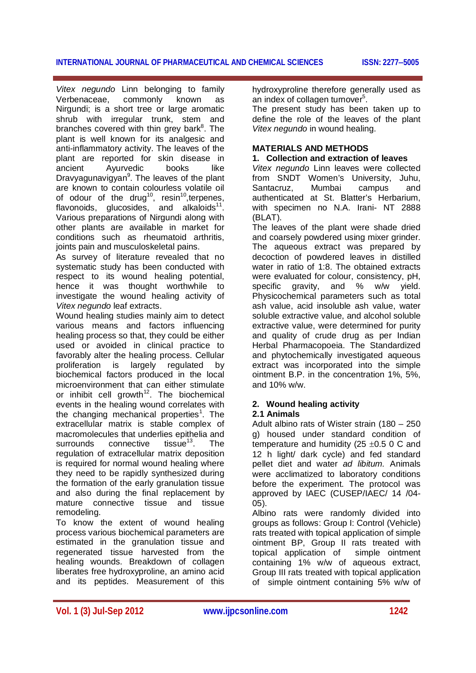# **INTERNATIONAL JOURNAL OF PHARMACEUTICAL AND CHEMICAL SCIENCES ISSN: 22775005**

*Vitex negundo* Linn belonging to family Verbenaceae, commonly known as Nirgundi; is a short tree or large aromatic shrub with irregular trunk, stem and branches covered with thin grey bark<sup>8</sup>. The plant is well known for its analgesic and anti-inflammatory activity. The leaves of the plant are reported for skin disease in ancient Ayurvedic books like Dravyagunavigyan<sup>9</sup>. The leaves of the plant are known to contain colourless volatile oil of odour of the drug<sup>10</sup>, resin<sup>10</sup>,terpenes, flavonoids, glucosides, and alkaloids $11$ . Various preparations of Nirgundi along with other plants are available in market for conditions such as rheumatoid arthritis, joints pain and musculoskeletal pains.

As survey of literature revealed that no systematic study has been conducted with respect to its wound healing potential, hence it was thought worthwhile to investigate the wound healing activity of *Vitex negundo* leaf extracts.

Wound healing studies mainly aim to detect various means and factors influencing healing process so that, they could be either used or avoided in clinical practice to favorably alter the healing process. Cellular proliferation is largely regulated by biochemical factors produced in the local microenvironment that can either stimulate or inhibit cell growth<sup>12</sup>. The biochemical events in the healing wound correlates with the changing mechanical properties<sup>1</sup>. The extracellular matrix is stable complex of macromolecules that underlies epithelia and<br>surrounds connective tissue<sup>13</sup>. The surrounds connective tissue<sup>13</sup>. The regulation of extracellular matrix deposition is required for normal wound healing where they need to be rapidly synthesized during the formation of the early granulation tissue and also during the final replacement by mature connective tissue and tissue remodeling.

To know the extent of wound healing process various biochemical parameters are estimated in the granulation tissue and regenerated tissue harvested from the healing wounds. Breakdown of collagen liberates free hydroxyproline, an amino acid and its peptides. Measurement of this

hydroxyproline therefore generally used as an index of collagen turnover<sup>5</sup>.

The present study has been taken up to define the role of the leaves of the plant *Vitex negundo* in wound healing.

# **MATERIALS AND METHODS**

## **1. Collection and extraction of leaves**

*Vitex negundo* Linn leaves were collected from SNDT Women's University, Juhu, Santacruz, Mumbai campus and authenticated at St. Blatter's Herbarium, with specimen no N.A. Irani- NT 2888 (BLAT).

The leaves of the plant were shade dried and coarsely powdered using mixer grinder. The aqueous extract was prepared by decoction of powdered leaves in distilled water in ratio of 1:8. The obtained extracts were evaluated for colour, consistency, pH, specific gravity, and % w/w yield. Physicochemical parameters such as total ash value, acid insoluble ash value, water soluble extractive value, and alcohol soluble extractive value, were determined for purity and quality of crude drug as per Indian Herbal Pharmacopoeia. The Standardized and phytochemically investigated aqueous extract was incorporated into the simple ointment B.P. in the concentration 1%, 5%, and 10% w/w.

# **2. Wound healing activity**

# **2.1 Animals**

Adult albino rats of Wister strain (180 – 250 g) housed under standard condition of temperature and humidity (25  $\pm$ 0.5 0 C and 12 h light/ dark cycle) and fed standard pellet diet and water *ad libitum.* Animals were acclimatized to laboratory conditions before the experiment. The protocol was approved by IAEC (CUSEP/IAEC/ 14 /04- 05).

Albino rats were randomly divided into groups as follows: Group I: Control (Vehicle) rats treated with topical application of simple ointment BP, Group II rats treated with topical application of simple ointment containing 1% w/w of aqueous extract, Group III rats treated with topical application of simple ointment containing 5% w/w of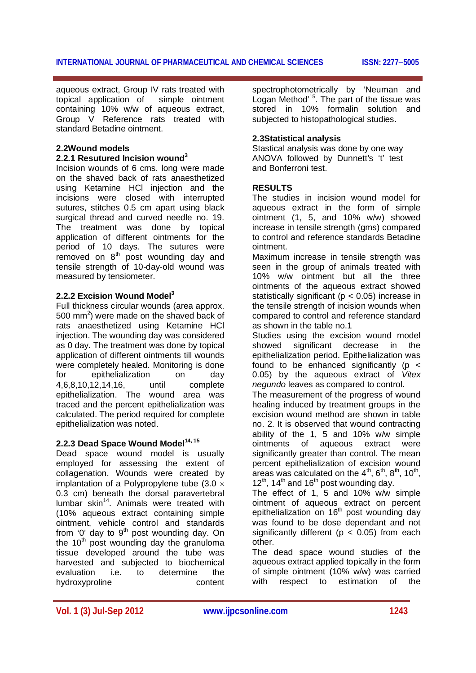# **INTERNATIONAL JOURNAL OF PHARMACEUTICAL AND CHEMICAL SCIENCES ISSN: 22775005**

aqueous extract, Group IV rats treated with topical application of simple ointment containing 10% w/w of aqueous extract, Group V Reference rats treated with standard Betadine ointment.

# **2.2Wound models**

# **2.2.1 Resutured Incision wound<sup>3</sup>**

Incision wounds of 6 cms. long were made on the shaved back of rats anaesthetized using Ketamine HCl injection and the incisions were closed with interrupted sutures, stitches 0.5 cm apart using black surgical thread and curved needle no. 19. The treatment was done by topical application of different ointments for the period of 10 days. The sutures were  $r$ emoved on  $8<sup>th</sup>$  post wounding day and tensile strength of 10-day-old wound was measured by tensiometer.

# **2.2.2 Excision Wound Model<sup>3</sup>**

Full thickness circular wounds (area approx. 500 mm<sup>2</sup>) were made on the shaved back of rats anaesthetized using Ketamine HCl injection. The wounding day was considered as 0 day. The treatment was done by topical application of different ointments till wounds were completely healed. Monitoring is done for epithelialization on day 4,6,8,10,12,14,16, until complete epithelialization. The wound area was traced and the percent epithelialization was calculated. The period required for complete epithelialization was noted.

# **2.2.3 Dead Space Wound Model14, 15**

Dead space wound model is usually employed for assessing the extent of collagenation. Wounds were created by implantation of a Polypropylene tube  $(3.0 \times$ 0.3 cm) beneath the dorsal paravertebral lumbar  $skin^{14}$ . Animals were treated with (10% aqueous extract containing simple ointment, vehicle control and standards from '0' day to  $9<sup>th</sup>$  post wounding day. On the  $10<sup>th</sup>$  post wounding day the granuloma tissue developed around the tube was harvested and subjected to biochemical evaluation i.e. to determine the hydroxyproline

spectrophotometrically by 'Neuman and Logan Method'<sup>15</sup>. The part of the tissue was stored in 10% formalin solution and subjected to histopathological studies.

# **2.3Statistical analysis**

Stastical analysis was done by one way ANOVA followed by Dunnett's 't' test and Bonferroni test.

# **RESULTS**

The studies in incision wound model for aqueous extract in the form of simple ointment (1, 5, and 10% w/w) showed increase in tensile strength (gms) compared to control and reference standards Betadine ointment.

Maximum increase in tensile strength was seen in the group of animals treated with 10% w/w ointment but all the three ointments of the aqueous extract showed statistically significant ( $p < 0.05$ ) increase in the tensile strength of incision wounds when compared to control and reference standard as shown in the table no.1

Studies using the excision wound model showed significant decrease in the epithelialization period. Epithelialization was found to be enhanced significantly ( $p <$ 0.05) by the aqueous extract of *Vitex negundo* leaves as compared to control.

The measurement of the progress of wound healing induced by treatment groups in the excision wound method are shown in table no. 2. It is observed that wound contracting ability of the 1, 5 and 10% w/w simple ointments of aqueous extract were significantly greater than control. The mean percent epithelialization of excision wound areas was calculated on the 4<sup>th</sup>, 6<sup>th</sup>, 8<sup>th</sup>, 10<sup>th</sup>,  $12^{th}$ , 14<sup>th</sup> and 16<sup>th</sup> post wounding day.

The effect of 1, 5 and 10% w/w simple ointment of aqueous extract on percent epithelialization on  $16<sup>th</sup>$  post wounding day was found to be dose dependant and not significantly different ( $p < 0.05$ ) from each other.

The dead space wound studies of the aqueous extract applied topically in the form of simple ointment (10% w/w) was carried with respect to estimation of the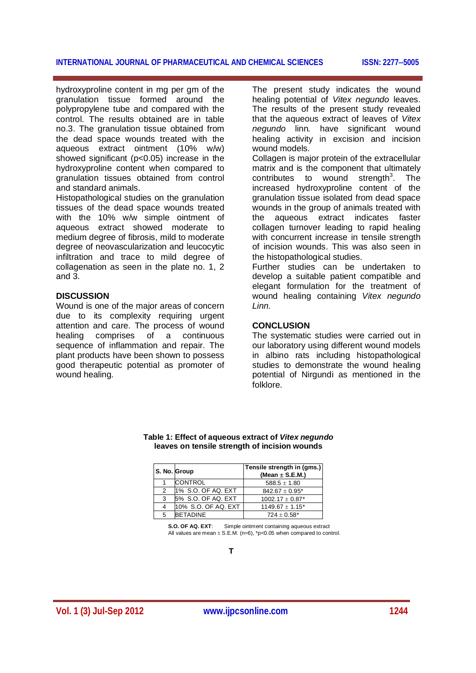# **INTERNATIONAL JOURNAL OF PHARMACEUTICAL AND CHEMICAL SCIENCES ISSN: 22775005**

hydroxyproline content in mg per gm of the granulation tissue formed around the polypropylene tube and compared with the control. The results obtained are in table no.3. The granulation tissue obtained from the dead space wounds treated with the aqueous extract ointment (10% w/w) showed significant (p<0.05) increase in the hydroxyproline content when compared to granulation tissues obtained from control and standard animals.

Histopathological studies on the granulation tissues of the dead space wounds treated with the 10% w/w simple ointment of aqueous extract showed moderate to medium degree of fibrosis, mild to moderate degree of neovascularization and leucocytic infiltration and trace to mild degree of collagenation as seen in the plate no. 1, 2 and 3.

## **DISCUSSION**

Wound is one of the major areas of concern due to its complexity requiring urgent attention and care. The process of wound healing comprises of a continuous sequence of inflammation and repair. The plant products have been shown to possess good therapeutic potential as promoter of wound healing.

The present study indicates the wound healing potential of *Vitex negundo* leaves. The results of the present study revealed that the aqueous extract of leaves of *Vitex negundo* linn*.* have significant wound healing activity in excision and incision wound models.

Collagen is major protein of the extracellular matrix and is the component that ultimately contributes to wound strength<sup>3</sup>. The increased hydroxyproline content of the granulation tissue isolated from dead space wounds in the group of animals treated with the aqueous extract indicates faster collagen turnover leading to rapid healing with concurrent increase in tensile strength of incision wounds. This was also seen in the histopathological studies.

Further studies can be undertaken to develop a suitable patient compatible and elegant formulation for the treatment of wound healing containing *Vitex negundo Linn.*

#### **CONCLUSION**

The systematic studies were carried out in our laboratory using different wound models in albino rats including histopathological studies to demonstrate the wound healing potential of Nirgundi as mentioned in the folklore.

| S. No. Group       | Tensile strength in (gms.)<br>(Mean $\pm$ S.E.M.) |  |  |
|--------------------|---------------------------------------------------|--|--|
| <b>ICONTROL</b>    | $588.5 + 1.80$                                    |  |  |
| 1% S.O. OF AQ. EXT | $842.67 \pm 0.95^*$                               |  |  |
| 5% S.O. OF AQ. EXT | $1002.17 \pm 0.87$ <sup>*</sup>                   |  |  |

#### **Table 1: Effect of aqueous extract of** *Vitex negundo* **leaves on tensile strength of incision wounds**

**S.O. OF AQ. EXT**: Simple ointment containing aqueous extract All values are mean  $\pm$  S.E.M. (n=6), \*p<0.05 when compared to control.

4  $10\%$  S.O. OF AQ. EXT 1149.67  $\pm$  1.15\*  $5$  BETADINE  $724 \pm 0.58^*$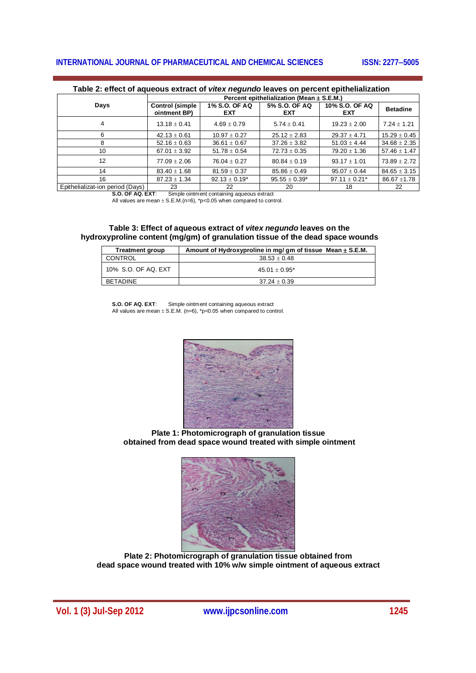# **INTERNATIONAL JOURNAL OF PHARMACEUTICAL AND CHEMICAL SCIENCES** ISSN: 2277-5005

|                                         | Percent epithelialization (Mean $\pm$ S.E.M.) |                             |                             |                               |                  |  |
|-----------------------------------------|-----------------------------------------------|-----------------------------|-----------------------------|-------------------------------|------------------|--|
| Days                                    | <b>Control (simple</b><br>ointment BP)        | 1% S.O. OF AQ<br><b>EXT</b> | 5% S.O. OF AQ<br><b>EXT</b> | 10% S.O. OF AQ<br><b>EXT</b>  | <b>Betadine</b>  |  |
| 4                                       | $13.18 \pm 0.41$                              | $4.69 \pm 0.79$             | $5.74 \pm 0.41$             | $19.23 + 2.00$                | $7.24 \pm 1.21$  |  |
| ี                                       | $42.13 \pm 0.61$                              | $10.97 \pm 0.27$            | $25.12 \pm 2.83$            | $29.37 \pm 4.71$              | $15.29 \pm 0.45$ |  |
|                                         | $52.16 \pm 0.63$                              | $36.61 \pm 0.67$            | $37.26 \pm 3.82$            | $51.03 \pm 4.44$              | $34.68 \pm 2.35$ |  |
| 10                                      | 67.01 $\pm$ 3.92                              | $51.78 \pm 0.54$            | $72.73 \pm 0.35$            | $79.20 \pm 1.36$              | $57.46 \pm 1.47$ |  |
| 12                                      | $77.09 + 2.06$                                | $76.04 + 0.27$              | $80.84 \pm 0.19$            | $93.17 + 1.01$                | $73.89 \pm 2.72$ |  |
| 14                                      | $83.40 \pm 1.68$                              | $81.59 \pm 0.37$            | $85.86 + 0.49$              | $95.07 + 0.44$                | $84.65 \pm 3.15$ |  |
| 16                                      | $87.23 \pm 1.34$                              | $92.13 \pm 0.19^*$          | $95.55 \pm 0.39*$           | $97.11 \pm 0.21$ <sup>*</sup> | $86.67 \pm 1.78$ |  |
| <b>CONTRACTOR</b> CONTRACTOR CONTRACTOR | $\sim$                                        | $\sim$                      | $\sim$                      | $\sim$                        | $\sim$           |  |

#### **Table 2: effect of aqueous extract of** *vitex negundo* **leaves on percent epithelialization**

Epithelializat-ion period (Days) 23 22 20 20 18 18 22<br> **S.O. OF AQ. EXT:** Simple ointment containing aqueous extract

Simple ointment containing aqueous extract

All values are mean  $\pm$  S.E.M.(n=6), \*p<0.05 when compared to control.

#### **Table 3: Effect of aqueous extract of** *vitex negundo* **leaves on the hydroxyproline content (mg/gm) of granulation tissue of the dead space wounds**

| <b>Treatment group</b> | Amount of Hydroxyproline in mg/ gm of tissue Mean ± S.E.M. |  |  |  |
|------------------------|------------------------------------------------------------|--|--|--|
| CONTROL                | $38.53 \pm 0.48$                                           |  |  |  |
| 10% S.O. OF AQ. EXT    | $45.01 + 0.95^*$                                           |  |  |  |
| <b>BETADINE</b>        | $37.24 + 0.39$                                             |  |  |  |

**S.O. OF AQ. EXT**: Simple ointment containing aqueous extract All values are mean  $\pm$  S.E.M. (n=6), \*p<0.05 when compared to control.



**Plate 1: Photomicrograph of granulation tissue obtained from dead space wound treated with simple ointment**



**Plate 2: Photomicrograph of granulation tissue obtained from dead space wound treated with 10% w/w simple ointment of aqueous extract**

**Vol. 1 (3) Jul-Sep 2012 www.ijpcsonline.com 1245**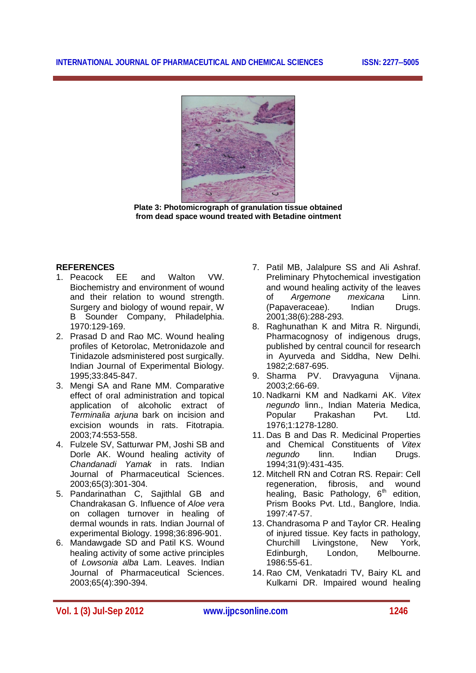

**Plate 3: Photomicrograph of granulation tissue obtained from dead space wound treated with Betadine ointment**

# **REFERENCES**

- 1. Peacock EE and Walton VW. Biochemistry and environment of wound and their relation to wound strength. Surgery and biology of wound repair, W B Sounder Company, Philadelphia. 1970:129-169.
- 2. Prasad D and Rao MC. Wound healing profiles of Ketorolac, Metronidazole and Tinidazole adsministered post surgically. Indian Journal of Experimental Biology. 1995;33:845-847.
- 3. Mengi SA and Rane MM. Comparative effect of oral administration and topical application of alcoholic extract of *Terminalia arjuna* bark on incision and excision wounds in rats. Fitotrapia. 2003;74:553-558.
- 4. Fulzele SV, Satturwar PM, Joshi SB and Dorle AK. Wound healing activity of *Chandanadi Yamak* in rats. Indian Journal of Pharmaceutical Sciences. 2003;65(3):301-304.
- 5. Pandarinathan C, Sajithlal GB and Chandrakasan G. Influence of *Aloe ve*ra on collagen turnover in healing of dermal wounds in rats. Indian Journal of experimental Biology. 1998;36:896-901.
- 6. Mandawgade SD and Patil KS. Wound healing activity of some active principles of *Lowsonia alba* Lam. Leaves. Indian Journal of Pharmaceutical Sciences. 2003;65(4):390-394.
- 7. Patil MB, Jalalpure SS and Ali Ashraf. Preliminary Phytochemical investigation and wound healing activity of the leaves<br>of Argemone mexicana Linn. of *Argemone* (Papaveraceae). Indian Drugs. 2001;38(6):288-293.
- 8. Raghunathan K and Mitra R. Nirgundi, Pharmacognosy of indigenous drugs, published by central council for research in Ayurveda and Siddha, New Delhi. 1982;2:687-695.
- 9. Sharma PV. Dravyaguna Vijnana. 2003;2:66-69.
- 10. Nadkarni KM and Nadkarni AK. *Vitex negundo* linn., Indian Materia Medica, Popular Prakashan Pvt. Ltd. 1976;1:1278-1280.
- 11. Das B and Das R. Medicinal Properties and Chemical Constituents of *Vitex negundo* linn. Indian 1994;31(9):431-435.
- 12. Mitchell RN and Cotran RS. Repair: Cell regeneration, fibrosis, and wound healing, Basic Pathology,  $6<sup>th</sup>$  edition, Prism Books Pvt. Ltd., Banglore, India. 1997:47-57.
- 13. Chandrasoma P and Taylor CR. Healing of injured tissue. Key facts in pathology, Churchill Livingstone, New York, Edinburgh, London, Melbourne. 1986:55-61.
- 14. Rao CM, Venkatadri TV, Bairy KL and Kulkarni DR. Impaired wound healing